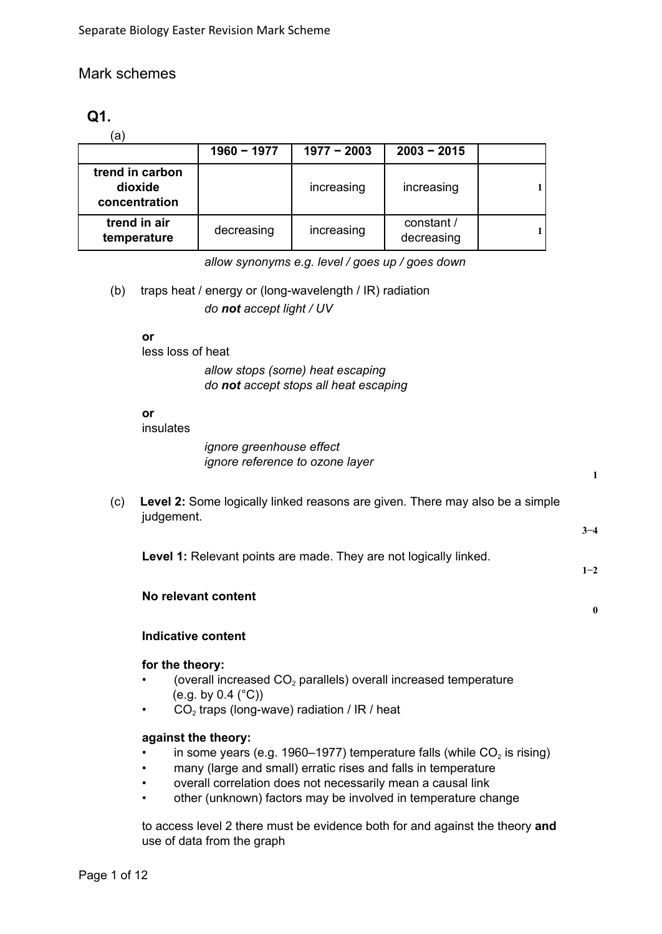## Mark schemes

# **Q1.**

(a)

|                                             | $1960 - 1977$ | $1977 - 2003$ | $2003 - 2015$            |  |
|---------------------------------------------|---------------|---------------|--------------------------|--|
| trend in carbon<br>dioxide<br>concentration |               | increasing    | increasing               |  |
| trend in air<br>temperature                 | decreasing    | increasing    | constant /<br>decreasing |  |

*allow synonyms e.g. level / goes up / goes down*

(b) traps heat / energy or (long-wavelength / IR) radiation *do not accept light / UV*

**or**

less loss of heat

*allow stops (some) heat escaping do not accept stops all heat escaping*

#### **or**

insulates

*ignore greenhouse effect ignore reference to ozone layer*

| (c) | Level 2: Some logically linked reasons are given. There may also be a simple<br>judgement. |         |
|-----|--------------------------------------------------------------------------------------------|---------|
|     |                                                                                            | $3 - 4$ |
|     | <b>Level 1:</b> Relevant points are made. They are not logically linked.                   | $1 - 2$ |

**1**

**0**

# **Indicative content**

**No relevant content**

# **for the theory:**

- (overall increased  $CO<sub>2</sub>$  parallels) overall increased temperature (e.g. by  $0.4$  ( $^{\circ}$ C))
- $CO<sub>2</sub>$  traps (long-wave) radiation / IR / heat

#### **against the theory:**

- in some years (e.g. 1960–1977) temperature falls (while  $CO<sub>2</sub>$  is rising)
- many (large and small) erratic rises and falls in temperature
- overall correlation does not necessarily mean a causal link
- other (unknown) factors may be involved in temperature change

to access level 2 there must be evidence both for and against the theory **and** use of data from the graph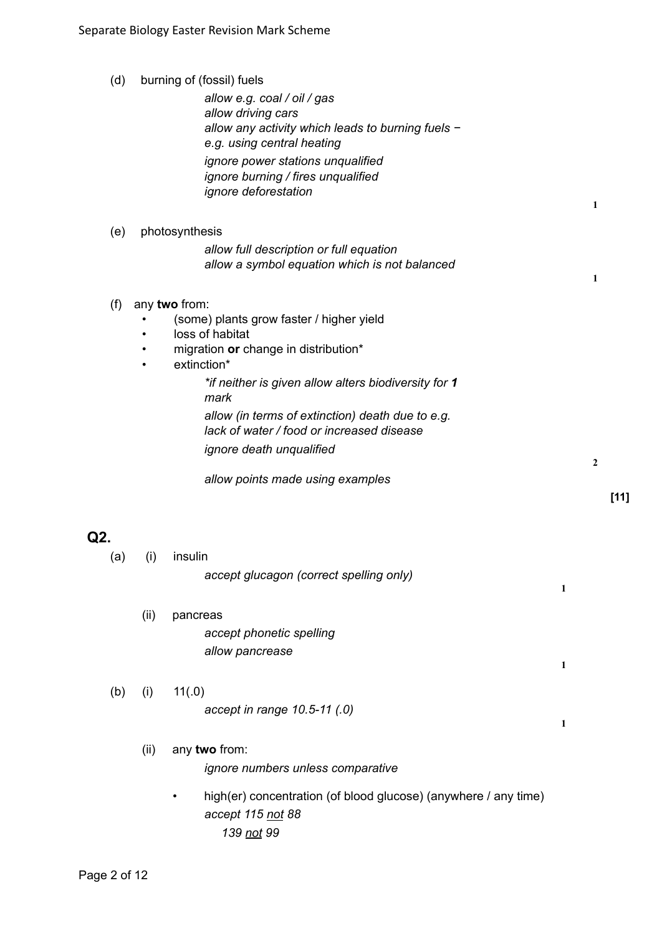| (d) |           | burning of (fossil) fuels                                                       |   |                |        |
|-----|-----------|---------------------------------------------------------------------------------|---|----------------|--------|
|     |           | allow e.g. coal / oil / gas                                                     |   |                |        |
|     |           | allow driving cars                                                              |   |                |        |
|     |           | allow any activity which leads to burning fuels -<br>e.g. using central heating |   |                |        |
|     |           | ignore power stations unqualified                                               |   |                |        |
|     |           | ignore burning / fires unqualified                                              |   |                |        |
|     |           | ignore deforestation                                                            |   |                |        |
|     |           |                                                                                 |   | 1              |        |
| (e) |           | photosynthesis                                                                  |   |                |        |
|     |           | allow full description or full equation                                         |   |                |        |
|     |           | allow a symbol equation which is not balanced                                   |   |                |        |
|     |           |                                                                                 |   | 1              |        |
| (f) |           | any two from:                                                                   |   |                |        |
|     |           | (some) plants grow faster / higher yield<br>loss of habitat                     |   |                |        |
|     |           | migration or change in distribution*                                            |   |                |        |
|     | $\bullet$ | extinction*                                                                     |   |                |        |
|     |           | *if neither is given allow alters biodiversity for 1                            |   |                |        |
|     |           | mark                                                                            |   |                |        |
|     |           | allow (in terms of extinction) death due to e.g.                                |   |                |        |
|     |           | lack of water / food or increased disease                                       |   |                |        |
|     |           | <i>ignore death unqualified</i>                                                 |   | $\overline{2}$ |        |
|     |           | allow points made using examples                                                |   |                |        |
|     |           |                                                                                 |   |                | $[11]$ |
|     |           |                                                                                 |   |                |        |
| Q2. |           |                                                                                 |   |                |        |
| (a) | (i)       | insulin                                                                         |   |                |        |
|     |           | accept glucagon (correct spelling only)                                         |   |                |        |
|     |           |                                                                                 | 1 |                |        |
|     | (ii)      | pancreas                                                                        |   |                |        |
|     |           | accept phonetic spelling                                                        |   |                |        |
|     |           | allow pancrease                                                                 |   |                |        |
|     |           |                                                                                 | 1 |                |        |
| (b) | (i)       | 11(.0)                                                                          |   |                |        |
|     |           | accept in range 10.5-11 (.0)                                                    |   |                |        |
|     |           |                                                                                 | 1 |                |        |
|     | (ii)      | any two from:                                                                   |   |                |        |
|     |           | ignore numbers unless comparative                                               |   |                |        |
|     |           |                                                                                 |   |                |        |
|     |           | high(er) concentration (of blood glucose) (anywhere / any time)                 |   |                |        |

ign(er) concentration (of blood glucose) (anywhere / any time) *accept 115 not 88 139 not 99*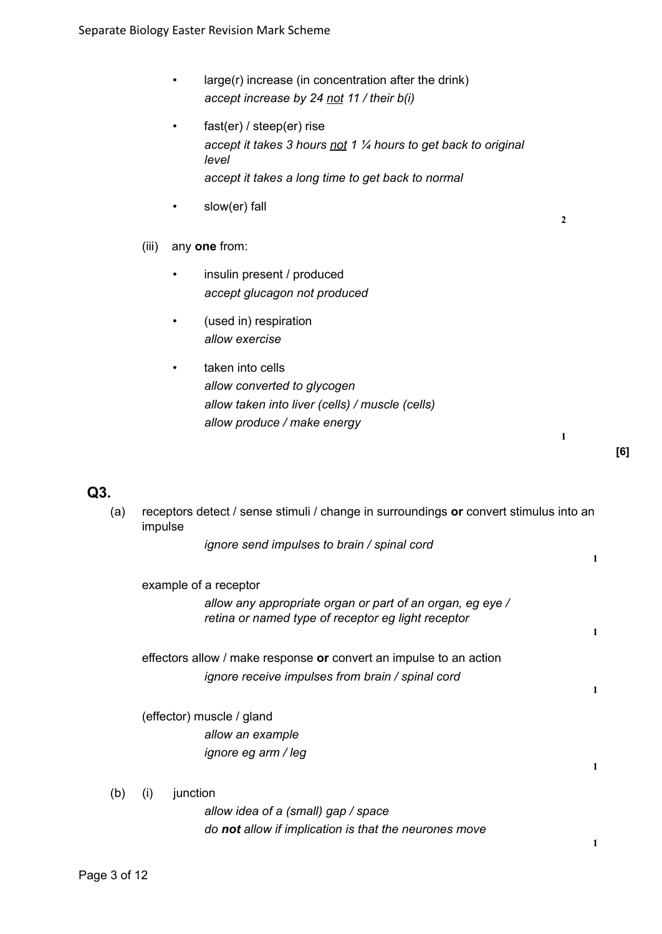- large(r) increase (in concentration after the drink) *accept increase by 24 not 11 / their b(i)*
- fast(er) / steep(er) rise *accept it takes 3 hours not 1 ¼ hours to get back to original level accept it takes a long time to get back to normal*
- slow(er) fall

**2**

**1**

- (iii) any **one** from:
	- insulin present / produced *accept glucagon not produced*
	- (used in) respiration *allow exercise*
	- taken into cells *allow converted to glycogen allow taken into liver (cells) / muscle (cells) allow produce / make energy*

| (a) | impulse         | receptors detect / sense stimuli / change in surroundings or convert stimulus into an                           |              |
|-----|-----------------|-----------------------------------------------------------------------------------------------------------------|--------------|
|     |                 | ignore send impulses to brain / spinal cord                                                                     | 1            |
|     |                 | example of a receptor                                                                                           |              |
|     |                 | allow any appropriate organ or part of an organ, eg eye /<br>retina or named type of receptor eg light receptor |              |
|     |                 |                                                                                                                 | $\mathbf{1}$ |
|     |                 | effectors allow / make response or convert an impulse to an action                                              |              |
|     |                 | ignore receive impulses from brain / spinal cord                                                                | 1            |
|     |                 | (effector) muscle / gland                                                                                       |              |
|     |                 | allow an example                                                                                                |              |
|     |                 | ignore eg arm / leg                                                                                             |              |
|     |                 |                                                                                                                 | 1            |
| (b) | junction<br>(i) |                                                                                                                 |              |
|     |                 | allow idea of a (small) gap / space                                                                             |              |
|     |                 | do not allow if implication is that the neurones move                                                           | 1            |
|     |                 |                                                                                                                 |              |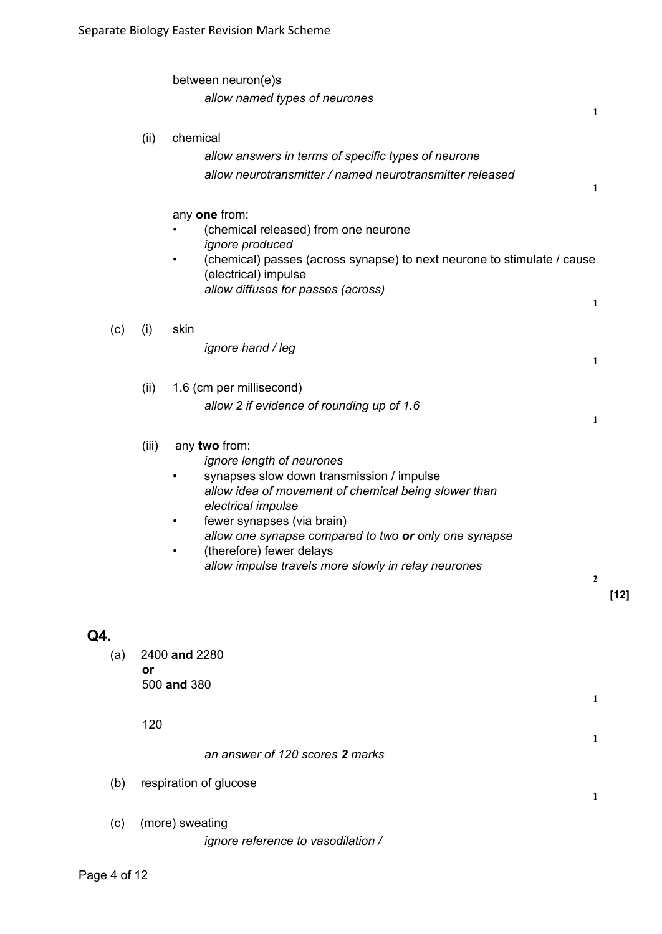|     |       | between neuron(e)s<br>allow named types of neurones                                                                                                                                                                                                                                                                                                          | 1              |        |
|-----|-------|--------------------------------------------------------------------------------------------------------------------------------------------------------------------------------------------------------------------------------------------------------------------------------------------------------------------------------------------------------------|----------------|--------|
|     | (ii)  | chemical<br>allow answers in terms of specific types of neurone<br>allow neurotransmitter / named neurotransmitter released                                                                                                                                                                                                                                  | 1              |        |
|     |       | any one from:<br>(chemical released) from one neurone<br>ignore produced<br>(chemical) passes (across synapse) to next neurone to stimulate / cause<br>$\bullet$<br>(electrical) impulse<br>allow diffuses for passes (across)                                                                                                                               |                |        |
|     |       |                                                                                                                                                                                                                                                                                                                                                              | 1              |        |
| (c) | (i)   | skin<br>ignore hand / leg                                                                                                                                                                                                                                                                                                                                    | 1              |        |
|     | (ii)  | 1.6 (cm per millisecond)<br>allow 2 if evidence of rounding up of 1.6                                                                                                                                                                                                                                                                                        | 1              |        |
|     | (iii) | any two from:<br>ignore length of neurones<br>synapses slow down transmission / impulse<br>allow idea of movement of chemical being slower than<br>electrical impulse<br>fewer synapses (via brain)<br>$\bullet$<br>allow one synapse compared to two or only one synapse<br>(therefore) fewer delays<br>allow impulse travels more slowly in relay neurones | $\overline{2}$ | $[12]$ |
| Q4. |       |                                                                                                                                                                                                                                                                                                                                                              |                |        |
| (a) | or    | 2400 and 2280<br>500 and 380                                                                                                                                                                                                                                                                                                                                 | 1              |        |
|     | 120   |                                                                                                                                                                                                                                                                                                                                                              | 1              |        |
|     |       | an answer of 120 scores 2 marks                                                                                                                                                                                                                                                                                                                              |                |        |
| (b) |       | respiration of glucose                                                                                                                                                                                                                                                                                                                                       | 1              |        |
| (c) |       | (more) sweating<br>ignore reference to vasodilation /                                                                                                                                                                                                                                                                                                        |                |        |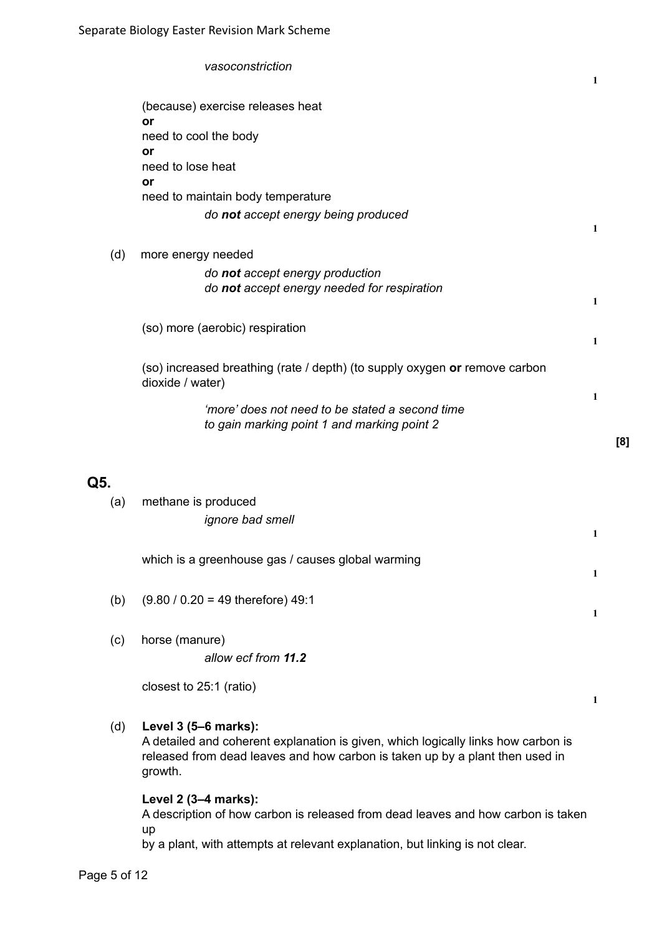|            | vasoconstriction                                                                                                                                                                                     | 1 |     |
|------------|------------------------------------------------------------------------------------------------------------------------------------------------------------------------------------------------------|---|-----|
|            | (because) exercise releases heat<br>or                                                                                                                                                               |   |     |
|            | need to cool the body<br>or                                                                                                                                                                          |   |     |
|            | need to lose heat<br>or                                                                                                                                                                              |   |     |
|            | need to maintain body temperature<br>do not accept energy being produced                                                                                                                             |   |     |
| (d)        | more energy needed                                                                                                                                                                                   | 1 |     |
|            | do not accept energy production<br>do not accept energy needed for respiration                                                                                                                       | 1 |     |
|            | (so) more (aerobic) respiration                                                                                                                                                                      | 1 |     |
|            | (so) increased breathing (rate / depth) (to supply oxygen or remove carbon<br>dioxide / water)                                                                                                       |   |     |
|            | 'more' does not need to be stated a second time<br>to gain marking point 1 and marking point 2                                                                                                       | 1 |     |
|            |                                                                                                                                                                                                      |   | [8] |
| Q5.<br>(a) | methane is produced<br><i>ignore bad smell</i>                                                                                                                                                       |   |     |
|            |                                                                                                                                                                                                      | 1 |     |
|            | which is a greenhouse gas / causes global warming                                                                                                                                                    | 1 |     |
| (b)        | $(9.80 / 0.20 = 49$ therefore) 49:1                                                                                                                                                                  | 1 |     |
| (c)        | horse (manure)<br>allow ecf from 11.2                                                                                                                                                                |   |     |
|            | closest to 25:1 (ratio)                                                                                                                                                                              | 1 |     |
| (d)        | Level 3 (5-6 marks):<br>A detailed and coherent explanation is given, which logically links how carbon is<br>released from dead leaves and how carbon is taken up by a plant then used in<br>growth. |   |     |
|            | Level 2 (3-4 marks):                                                                                                                                                                                 |   |     |

A description of how carbon is released from dead leaves and how carbon is taken up

by a plant, with attempts at relevant explanation, but linking is not clear.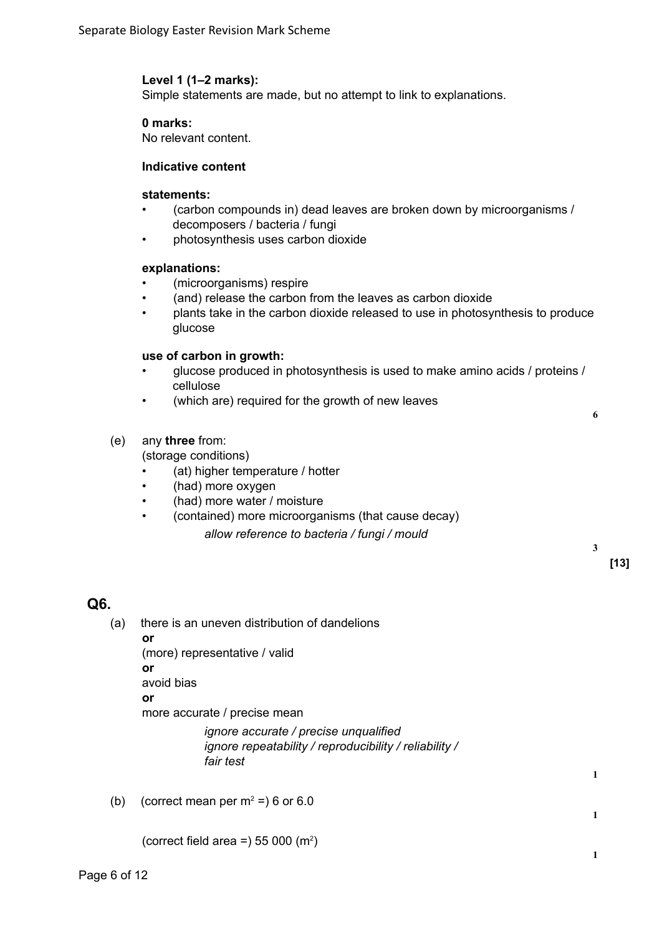#### **Level 1 (1–2 marks):**

Simple statements are made, but no attempt to link to explanations.

#### **0 marks:**

No relevant content.

#### **Indicative content**

#### **statements:**

- (carbon compounds in) dead leaves are broken down by microorganisms / decomposers / bacteria / fungi
- photosynthesis uses carbon dioxide

#### **explanations:**

- (microorganisms) respire
- (and) release the carbon from the leaves as carbon dioxide
- plants take in the carbon dioxide released to use in photosynthesis to produce glucose

#### **use of carbon in growth:**

• glucose produced in photosynthesis is used to make amino acids / proteins / cellulose

**6**

**3**

**1**

**1**

**1**

**[13]**

• (which are) required for the growth of new leaves

#### (e) any **three** from:

(storage conditions)

- (at) higher temperature / hotter
- (had) more oxygen
- (had) more water / moisture
- (contained) more microorganisms (that cause decay)

*allow reference to bacteria / fungi / mould*

#### **Q6.**

(a) there is an uneven distribution of dandelions **or** (more) representative / valid **or**

avoid bias

**or**

more accurate / precise mean

*ignore accurate / precise unqualified ignore repeatability / reproducibility / reliability / fair test*

(b) (correct mean per  $m^2 = 6$  or 6.0

(correct field area =) 55 000  $(m^2)$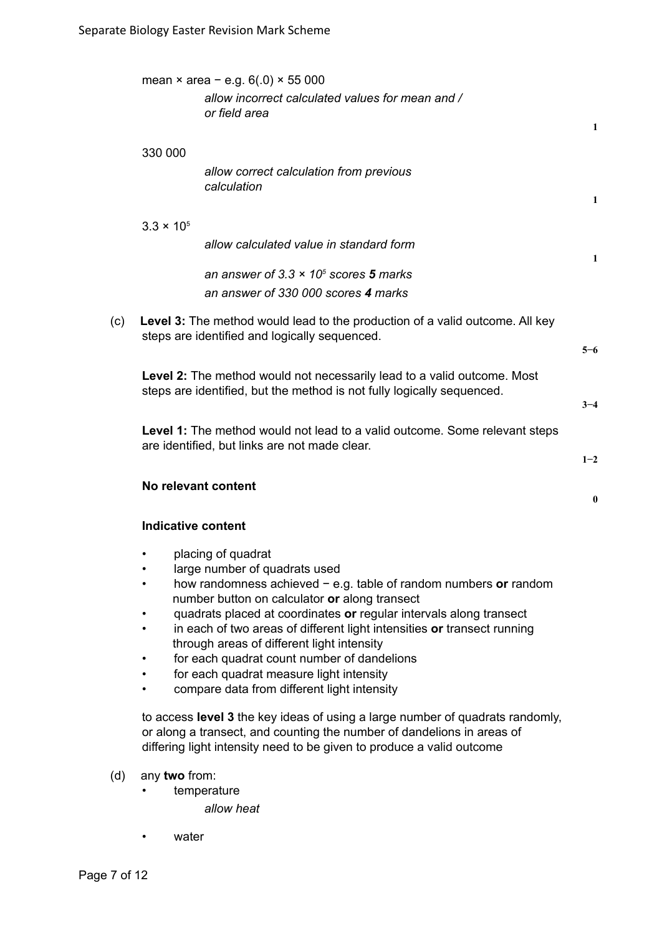|     |                           | mean $\times$ area – e.g. 6(.0) $\times$ 55 000                                                                                                                                                                                  |              |
|-----|---------------------------|----------------------------------------------------------------------------------------------------------------------------------------------------------------------------------------------------------------------------------|--------------|
|     |                           | allow incorrect calculated values for mean and /<br>or field area                                                                                                                                                                | $\mathbf{1}$ |
|     | 330 000                   |                                                                                                                                                                                                                                  |              |
|     |                           | allow correct calculation from previous<br>calculation                                                                                                                                                                           | 1            |
|     | $3.3 \times 10^{5}$       |                                                                                                                                                                                                                                  |              |
|     |                           | allow calculated value in standard form                                                                                                                                                                                          | $\mathbf{1}$ |
|     |                           | an answer of $3.3 \times 10^5$ scores 5 marks<br>an answer of 330 000 scores 4 marks                                                                                                                                             |              |
| (c) |                           | Level 3: The method would lead to the production of a valid outcome. All key<br>steps are identified and logically sequenced.                                                                                                    | $5 - 6$      |
|     |                           | Level 2: The method would not necessarily lead to a valid outcome. Most                                                                                                                                                          |              |
|     |                           | steps are identified, but the method is not fully logically sequenced.                                                                                                                                                           | $3 - 4$      |
|     |                           | Level 1: The method would not lead to a valid outcome. Some relevant steps<br>are identified, but links are not made clear.                                                                                                      | $1 - 2$      |
|     |                           | No relevant content                                                                                                                                                                                                              | $\bf{0}$     |
|     | <b>Indicative content</b> |                                                                                                                                                                                                                                  |              |
|     |                           | placing of quadrat                                                                                                                                                                                                               |              |
|     |                           | large number of quadrats used                                                                                                                                                                                                    |              |
|     |                           | how randomness achieved $-$ e.g. table of random numbers or random<br>number button on calculator or along transect                                                                                                              |              |
|     |                           | quadrats placed at coordinates or regular intervals along transect                                                                                                                                                               |              |
|     |                           | in each of two areas of different light intensities or transect running<br>through areas of different light intensity                                                                                                            |              |
|     |                           | for each quadrat count number of dandelions                                                                                                                                                                                      |              |
|     |                           | for each quadrat measure light intensity                                                                                                                                                                                         |              |
|     |                           | compare data from different light intensity                                                                                                                                                                                      |              |
|     |                           | to access level 3 the key ideas of using a large number of quadrats randomly,<br>or along a transect, and counting the number of dandelions in areas of<br>differing light intensity need to be given to produce a valid outcome |              |

- (d) any **two** from:
	- temperature

*allow heat*

• water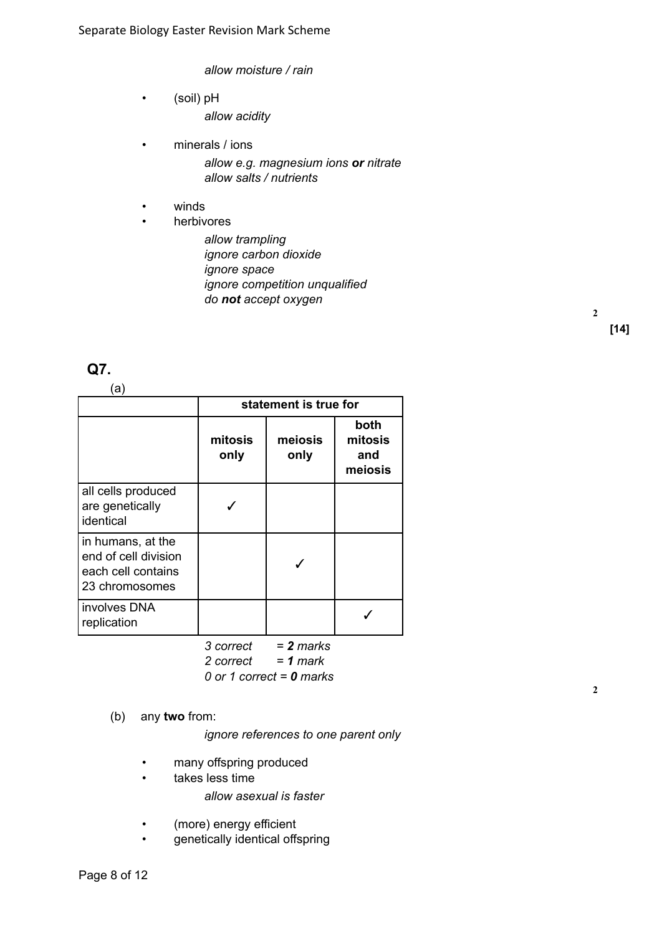*allow moisture / rain*

- (soil) pH *allow acidity*
- minerals / ions

*allow e.g. magnesium ions or nitrate allow salts / nutrients*

- winds
- herbivores
	- *allow trampling ignore carbon dioxide ignore space ignore competition unqualified do not accept oxygen*

## **Q7.**

| (a)                                                                               |                       |                 |                                   |
|-----------------------------------------------------------------------------------|-----------------------|-----------------|-----------------------------------|
|                                                                                   | statement is true for |                 |                                   |
|                                                                                   | mitosis<br>only       | meiosis<br>only | both<br>mitosis<br>and<br>meiosis |
| all cells produced<br>are genetically<br>identical                                |                       |                 |                                   |
| in humans, at the<br>end of cell division<br>each cell contains<br>23 chromosomes |                       |                 |                                   |
| involves DNA<br>replication                                                       |                       |                 |                                   |

*3 correct = 2 marks 2 correct = 1 mark*

*0 or 1 correct = 0 marks*

(b) any **two** from:

*ignore references to one parent only*

- many offspring produced
- takes less time
	- *allow asexual is faster*
- (more) energy efficient
- genetically identical offspring

**2**

**2**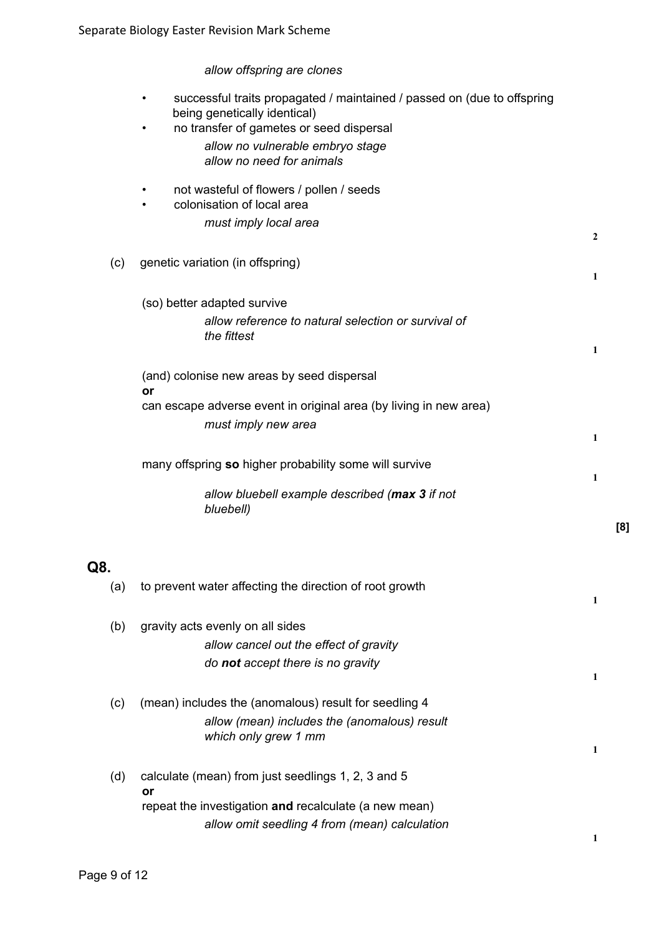# *allow offspring are clones*

|     | successful traits propagated / maintained / passed on (due to offspring<br>being genetically identical)<br>no transfer of gametes or seed dispersal<br>$\bullet$ |     |
|-----|------------------------------------------------------------------------------------------------------------------------------------------------------------------|-----|
|     | allow no vulnerable embryo stage<br>allow no need for animals                                                                                                    |     |
|     | not wasteful of flowers / pollen / seeds<br>colonisation of local area<br>٠                                                                                      |     |
|     | must imply local area                                                                                                                                            | 2   |
| (c) | genetic variation (in offspring)                                                                                                                                 | 1   |
|     | (so) better adapted survive                                                                                                                                      |     |
|     | allow reference to natural selection or survival of<br>the fittest                                                                                               |     |
|     |                                                                                                                                                                  | 1   |
|     | (and) colonise new areas by seed dispersal<br>or                                                                                                                 |     |
|     | can escape adverse event in original area (by living in new area)                                                                                                |     |
|     | must imply new area                                                                                                                                              |     |
|     |                                                                                                                                                                  | 1   |
|     | many offspring so higher probability some will survive                                                                                                           | 1   |
|     | allow bluebell example described (max 3 if not<br>bluebell)                                                                                                      |     |
|     |                                                                                                                                                                  | [8] |
| Q8. |                                                                                                                                                                  |     |
| (a) | to prevent water affecting the direction of root growth                                                                                                          | 1   |
| (b) | gravity acts evenly on all sides                                                                                                                                 |     |
|     | allow cancel out the effect of gravity                                                                                                                           |     |
|     | do not accept there is no gravity                                                                                                                                | 1   |
| (c) | (mean) includes the (anomalous) result for seedling 4                                                                                                            |     |
|     | allow (mean) includes the (anomalous) result<br>which only grew 1 mm                                                                                             |     |
|     |                                                                                                                                                                  | 1   |
| (d) | calculate (mean) from just seedlings 1, 2, 3 and 5<br>or                                                                                                         |     |
|     | repeat the investigation and recalculate (a new mean)                                                                                                            |     |
|     | allow omit seedling 4 from (mean) calculation                                                                                                                    |     |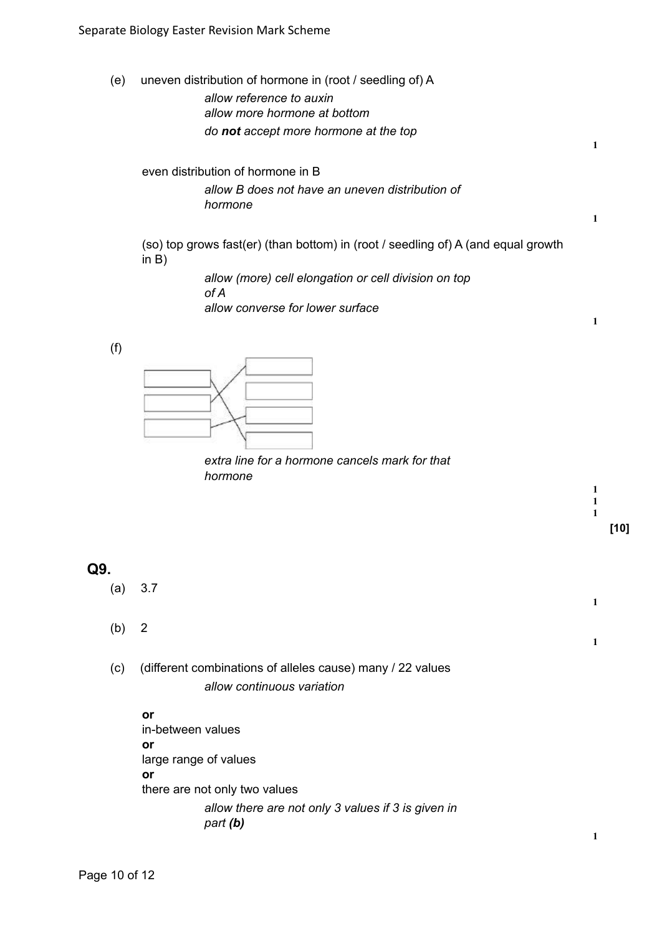(e) uneven distribution of hormone in (root / seedling of) A

*allow reference to auxin allow more hormone at bottom do not accept more hormone at the top*

even distribution of hormone in B *allow B does not have an uneven distribution of hormone*

(so) top grows fast(er) (than bottom) in (root / seedling of) A (and equal growth in B)

> *allow (more) cell elongation or cell division on top of A allow converse for lower surface*

(f)



*extra line for a hormone cancels mark for that hormone*

**1 1 1**

**1**

**1**

**1**

**1**

**1**

# **Q9.**

- (a) 3.7
- (b) 2
- (c) (different combinations of alleles cause) many / 22 values *allow continuous variation*

**or** in-between values **or** large range of values **or** there are not only two values *allow there are not only 3 values if 3 is given in part (b)*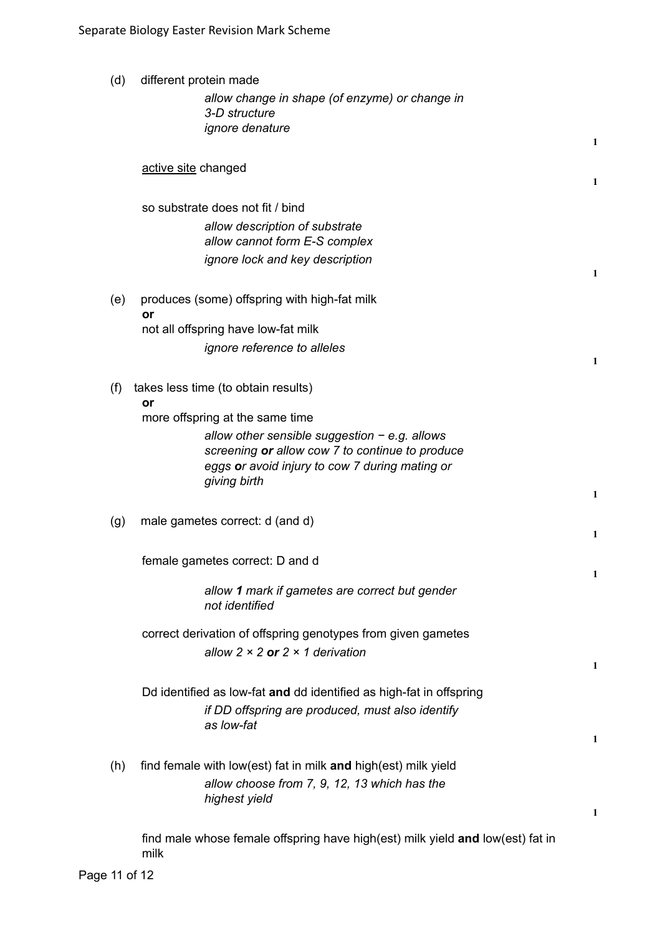| (d) | different protein made                                                         |              |
|-----|--------------------------------------------------------------------------------|--------------|
|     | allow change in shape (of enzyme) or change in                                 |              |
|     | 3-D structure                                                                  |              |
|     | ignore denature                                                                |              |
|     |                                                                                | $\mathbf{1}$ |
|     | active site changed                                                            |              |
|     |                                                                                | 1            |
|     | so substrate does not fit / bind                                               |              |
|     | allow description of substrate                                                 |              |
|     | allow cannot form E-S complex                                                  |              |
|     | ignore lock and key description                                                |              |
|     |                                                                                | 1            |
|     |                                                                                |              |
| (e) | produces (some) offspring with high-fat milk<br>or                             |              |
|     | not all offspring have low-fat milk                                            |              |
|     | ignore reference to alleles                                                    |              |
|     |                                                                                | 1            |
|     |                                                                                |              |
| (f) | takes less time (to obtain results)<br>or                                      |              |
|     | more offspring at the same time                                                |              |
|     | allow other sensible suggestion $-e.g.$ allows                                 |              |
|     | screening or allow cow 7 to continue to produce                                |              |
|     | eggs or avoid injury to cow 7 during mating or                                 |              |
|     | giving birth                                                                   |              |
|     |                                                                                | 1            |
| (g) | male gametes correct: d (and d)                                                |              |
|     |                                                                                | 1            |
|     | female gametes correct: D and d                                                |              |
|     |                                                                                | $\mathbf{1}$ |
|     | allow 1 mark if gametes are correct but gender                                 |              |
|     | not identified                                                                 |              |
|     | correct derivation of offspring genotypes from given gametes                   |              |
|     | allow $2 \times 2$ or $2 \times 1$ derivation                                  |              |
|     |                                                                                | $\mathbf{1}$ |
|     |                                                                                |              |
|     | Dd identified as low-fat and dd identified as high-fat in offspring            |              |
|     | if DD offspring are produced, must also identify                               |              |
|     | as low-fat                                                                     | 1            |
|     |                                                                                |              |
| (h) | find female with low(est) fat in milk and high(est) milk yield                 |              |
|     | allow choose from 7, 9, 12, 13 which has the                                   |              |
|     | highest yield                                                                  |              |
|     |                                                                                | 1            |
|     | find male whose female offspring have high(est) milk yield and low(est) fat in |              |
|     | milk                                                                           |              |

Page 11 of 12